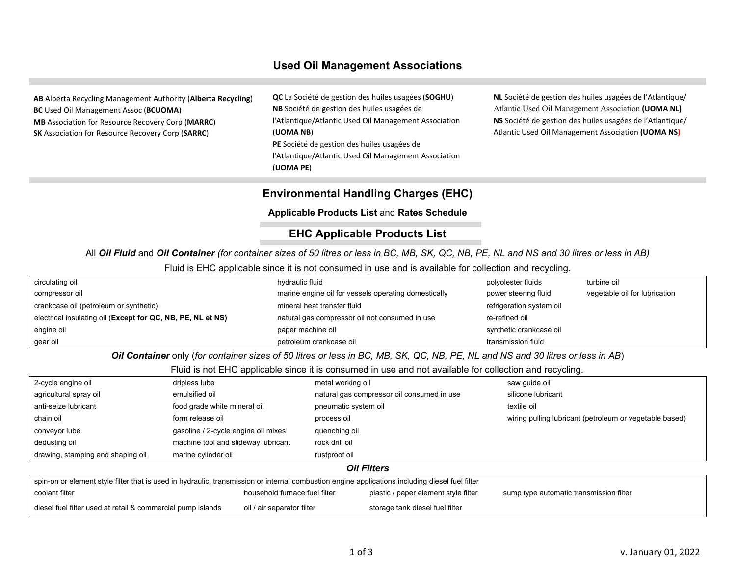## **Used Oil Management Associations**

**AB** Alberta Recycling Management Authority (**Alberta Recycling**) **BC** Used Oil Management Assoc (**BCUOMA**) **MB** Association for Resource Recovery Corp (**MARRC**) **SK** Association for Resource Recovery Corp (**SARRC**)

**QC** La Société de gestion des huiles usagées (**SOGHU**) **NB** Société de gestion des huiles usagées de l'Atlantique/Atlantic Used Oil Management Association (**UOMA NB**) **PE** Société de gestion des huiles usagées de l'Atlantique/Atlantic Used Oil Management Association (**UOMA PE**)

**NL** Société de gestion des huiles usagées de l'Atlantique/ Atlantic Used Oil Management Association **(UOMA NL) NS** Société de gestion des huiles usagées de l'Atlantique/ Atlantic Used Oil Management Association **(UOMA NS)**

# **Environmental Handling Charges (EHC)**

**Applicable Products List** and **Rates Schedule**

# **EHC Applicable Products List**

All *Oil Fluid* and *Oil Container (for container sizes of 50 litres or less in BC, MB, SK, QC, NB, PE, NL and NS and 30 litres or less in AB)*

Fluid is EHC applicable since it is not consumed in use and is available for collection and recycling.

| circulating oil                                                                                                                |                                     | hydraulic fluid                                      | polyolester fluids       | turbine oil                                             |  |  |
|--------------------------------------------------------------------------------------------------------------------------------|-------------------------------------|------------------------------------------------------|--------------------------|---------------------------------------------------------|--|--|
| compressor oil                                                                                                                 |                                     | marine engine oil for vessels operating domestically | power steering fluid     | vegetable oil for lubrication                           |  |  |
| crankcase oil (petroleum or synthetic)                                                                                         |                                     | mineral heat transfer fluid                          | refrigeration system oil |                                                         |  |  |
| electrical insulating oil (Except for QC, NB, PE, NL et NS)                                                                    |                                     | natural gas compressor oil not consumed in use       | re-refined oil           |                                                         |  |  |
| engine oil                                                                                                                     |                                     | paper machine oil                                    | synthetic crankcase oil  |                                                         |  |  |
| gear oil                                                                                                                       |                                     | petroleum crankcase oil                              | transmission fluid       |                                                         |  |  |
| Oil Container only (for container sizes of 50 litres or less in BC, MB, SK, QC, NB, PE, NL and NS and 30 litres or less in AB) |                                     |                                                      |                          |                                                         |  |  |
| Fluid is not EHC applicable since it is consumed in use and not available for collection and recycling.                        |                                     |                                                      |                          |                                                         |  |  |
| 2-cycle engine oil                                                                                                             | dripless lube                       | metal working oil                                    | saw guide oil            |                                                         |  |  |
| agricultural spray oil                                                                                                         | emulsified oil                      | natural gas compressor oil consumed in use           | silicone lubricant       |                                                         |  |  |
| anti-seize lubricant                                                                                                           | food grade white mineral oil        | pneumatic system oil                                 | textile oil              |                                                         |  |  |
| chain oil                                                                                                                      | form release oil                    | process oil                                          |                          | wiring pulling lubricant (petroleum or vegetable based) |  |  |
| conveyor lube                                                                                                                  | gasoline / 2-cycle engine oil mixes | quenching oil                                        |                          |                                                         |  |  |
| dedusting oil                                                                                                                  | machine tool and slideway lubricant | rock drill oil                                       |                          |                                                         |  |  |
| drawing, stamping and shaping oil                                                                                              | marine cylinder oil                 | rustproof oil                                        |                          |                                                         |  |  |
| <b>Oil Filters</b>                                                                                                             |                                     |                                                      |                          |                                                         |  |  |

| spin-on or element style filter that is used in hydraulic, transmission or internal combustion engine applications including diesel fuel filter |                               |                                      |                                         |  |  |
|-------------------------------------------------------------------------------------------------------------------------------------------------|-------------------------------|--------------------------------------|-----------------------------------------|--|--|
| coolant filter                                                                                                                                  | household furnace fuel filter | plastic / paper element style filter | sump type automatic transmission filter |  |  |
| diesel fuel filter used at retail & commercial pump islands                                                                                     | oil / air separator filter    | storage tank diesel fuel filter      |                                         |  |  |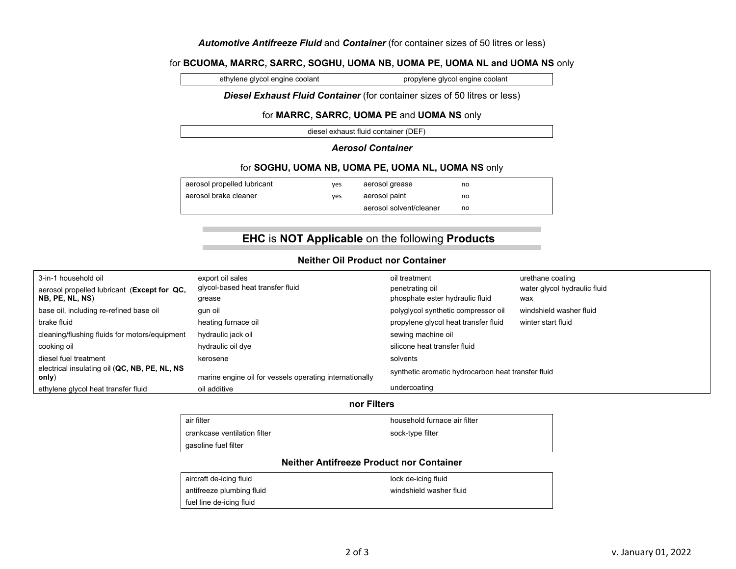#### *Automotive Antifreeze Fluid* and *Container* (for container sizes of 50 litres or less)

#### for **BCUOMA, MARRC, SARRC, SOGHU, UOMA NB, UOMA PE, UOMA NL and UOMA NS** only

ethylene glycol engine coolant propylene glycol engine coolant

#### *Diesel Exhaust Fluid Container* (for container sizes of 50 litres or less)

#### for **MARRC, SARRC, UOMA PE** and **UOMA NS** only

diesel exhaust fluid container (DEF)

#### *Aerosol Container*

#### for **SOGHU, UOMA NB, UOMA PE, UOMA NL, UOMA NS** only

| aerosol propelled lubricant | ves | aerosol grease          | no |
|-----------------------------|-----|-------------------------|----|
| aerosol brake cleaner       | ves | aerosol paint           | no |
|                             |     | aerosol solvent/cleaner | no |

# **EHC** is **NOT Applicable** on the following **Products**

### **Neither Oil Product nor Container**

| 3-in-1 household oil                                   | export oil sales                                        | oil treatment                                      | urethane coating             |  |
|--------------------------------------------------------|---------------------------------------------------------|----------------------------------------------------|------------------------------|--|
| aerosol propelled lubricant (Except for QC,            | glycol-based heat transfer fluid                        | penetrating oil                                    | water glycol hydraulic fluid |  |
| NB, PE, NL, NS)                                        | grease                                                  | phosphate ester hydraulic fluid                    | wax                          |  |
| base oil, including re-refined base oil                | qun oil                                                 | polyglycol synthetic compressor oil                | windshield washer fluid      |  |
| brake fluid                                            | heating furnace oil                                     | propylene glycol heat transfer fluid               | winter start fluid           |  |
| cleaning/flushing fluids for motors/equipment          | hydraulic jack oil                                      | sewing machine oil                                 |                              |  |
| cooking oil                                            | hydraulic oil dye                                       | silicone heat transfer fluid                       |                              |  |
| diesel fuel treatment                                  | kerosene                                                | solvents                                           |                              |  |
| electrical insulating oil (QC, NB, PE, NL, NS<br>only) | marine engine oil for vessels operating internationally | synthetic aromatic hydrocarbon heat transfer fluid |                              |  |
| ethylene glycol heat transfer fluid                    | oil additive                                            | undercoating                                       |                              |  |

#### **nor Filters**

#### air filter household furnace air filter

crankcase ventilation filter sock-type filter gasoline fuel filter

#### **Neither Antifreeze Product nor Container**

| aircraft de-icing fluid   | lock de-icing fluid     |
|---------------------------|-------------------------|
| antifreeze plumbing fluid | windshield washer fluid |
| fuel line de-icing fluid  |                         |